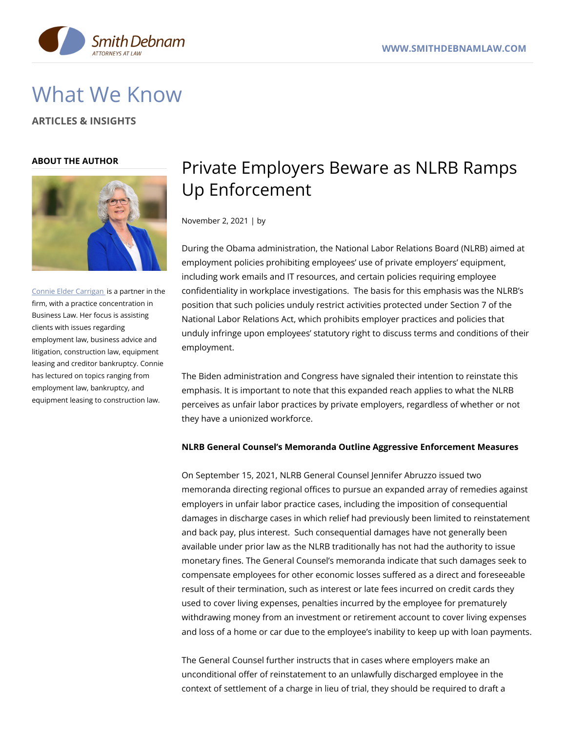

# What We Know

**ARTICLES & INSIGHTS**

### **ABOUT THE AUTHOR**



Connie Elder [Carrigan](https://www.smithdebnamlaw.com/attorneys/connie-carrigan/) is a partner in the firm, with a practice concentration in Business Law. Her focus is assisting clients with issues regarding employment law, business advice and litigation, construction law, equipment leasing and creditor bankruptcy. Connie has lectured on topics ranging from employment law, bankruptcy, and equipment leasing to construction law.

## Private Employers Beware as NLRB Ramps Up Enforcement

November 2, 2021 | by

During the Obama administration, the National Labor Relations Board (NLRB) aimed at employment policies prohibiting employees' use of private employers' equipment, including work emails and IT resources, and certain policies requiring employee confidentiality in workplace investigations. The basis for this emphasis was the NLRB's position that such policies unduly restrict activities protected under Section 7 of the National Labor Relations Act, which prohibits employer practices and policies that unduly infringe upon employees' statutory right to discuss terms and conditions of their employment.

The Biden administration and Congress have signaled their intention to reinstate this emphasis. It is important to note that this expanded reach applies to what the NLRB perceives as unfair labor practices by private employers, regardless of whether or not they have a unionized workforce.

## **NLRB General Counsel's Memoranda Outline Aggressive Enforcement Measures**

On September 15, 2021, NLRB General Counsel Jennifer Abruzzo issued two memoranda directing regional offices to pursue an expanded array of remedies against employers in unfair labor practice cases, including the imposition of consequential damages in discharge cases in which relief had previously been limited to reinstatement and back pay, plus interest. Such consequential damages have not generally been available under prior law as the NLRB traditionally has not had the authority to issue monetary fines. The General Counsel's memoranda indicate that such damages seek to compensate employees for other economic losses suffered as a direct and foreseeable result of their termination, such as interest or late fees incurred on credit cards they used to cover living expenses, penalties incurred by the employee for prematurely withdrawing money from an investment or retirement account to cover living expenses and loss of a home or car due to the employee's inability to keep up with loan payments.

The General Counsel further instructs that in cases where employers make an unconditional offer of reinstatement to an unlawfully discharged employee in the context of settlement of a charge in lieu of trial, they should be required to draft a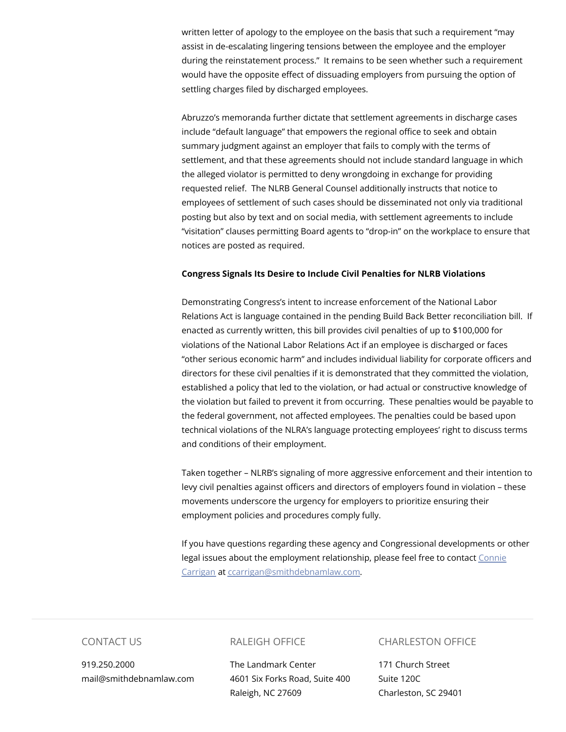written letter of apology to the employee on the basis that such a requirement "may assist in de-escalating lingering tensions between the employee and the employer during the reinstatement process." It remains to be seen whether such a requirement would have the opposite effect of dissuading employers from pursuing the option of settling charges filed by discharged employees.

Abruzzo's memoranda further dictate that settlement agreements in discharge cases include "default language" that empowers the regional office to seek and obtain summary judgment against an employer that fails to comply with the terms of settlement, and that these agreements should not include standard language in which the alleged violator is permitted to deny wrongdoing in exchange for providing requested relief. The NLRB General Counsel additionally instructs that notice to employees of settlement of such cases should be disseminated not only via traditional posting but also by text and on social media, with settlement agreements to include "visitation" clauses permitting Board agents to "drop-in" on the workplace to ensure that notices are posted as required.

#### **Congress Signals Its Desire to Include Civil Penalties for NLRB Violations**

Demonstrating Congress's intent to increase enforcement of the National Labor Relations Act is language contained in the pending Build Back Better reconciliation bill. If enacted as currently written, this bill provides civil penalties of up to \$100,000 for violations of the National Labor Relations Act if an employee is discharged or faces "other serious economic harm" and includes individual liability for corporate officers and directors for these civil penalties if it is demonstrated that they committed the violation, established a policy that led to the violation, or had actual or constructive knowledge of the violation but failed to prevent it from occurring. These penalties would be payable to the federal government, not affected employees. The penalties could be based upon technical violations of the NLRA's language protecting employees' right to discuss terms and conditions of their employment.

Taken together – NLRB's signaling of more aggressive enforcement and their intention to levy civil penalties against officers and directors of employers found in violation – these movements underscore the urgency for employers to prioritize ensuring their employment policies and procedures comply fully.

If you have questions regarding these agency and Congressional developments or other legal issues about the employment relationship, please feel free to contact Connie Carrigan at [ccarrigan@smithdebnamlaw.com.](https://www.smithdebnamlaw.com/people/connie-carrigan/)

## CONTACT US

919.250.2000 mail@smithdebnamlaw.com

## RALEIGH OFFICE

The Landmark Center 4601 Six Forks Road, Suite 400 Raleigh, NC 27609

#### CHARLESTON OFFICE

171 Church Street Suite 120C Charleston, SC 29401